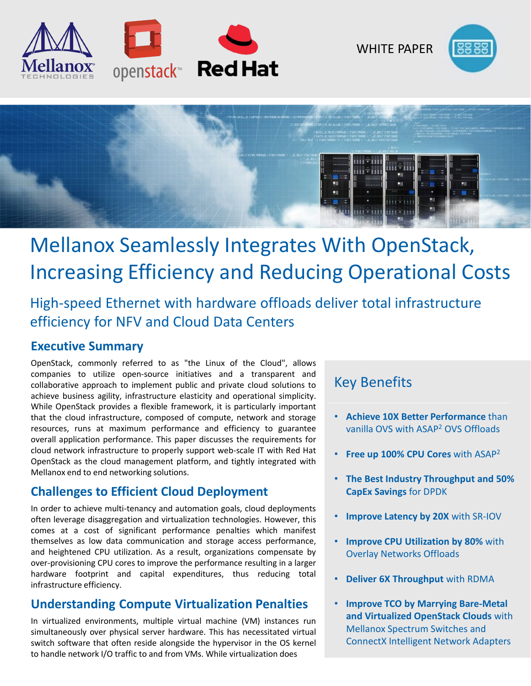

WHITE PAPER





# Mellanox Seamlessly Integrates With OpenStack, Increasing Efficiency and Reducing Operational Costs

High-speed Ethernet with hardware offloads deliver total infrastructure efficiency for NFV and Cloud Data Centers

#### **Executive Summary**

OpenStack, commonly referred to as "the Linux of the Cloud", allows companies to utilize open-source initiatives and a transparent and collaborative approach to implement public and private cloud solutions to achieve business agility, infrastructure elasticity and operational simplicity. While OpenStack provides a flexible framework, it is particularly important that the cloud infrastructure, composed of compute, network and storage resources, runs at maximum performance and efficiency to guarantee overall application performance. This paper discusses the requirements for cloud network infrastructure to properly support web-scale IT with Red Hat OpenStack as the cloud management platform, and tightly integrated with Mellanox end to end networking solutions.

## **Challenges to Efficient Cloud Deployment**

In order to achieve multi-tenancy and automation goals, cloud deployments often leverage disaggregation and virtualization technologies. However, this comes at a cost of significant performance penalties which manifest themselves as low data communication and storage access performance, and heightened CPU utilization. As a result, organizations compensate by over-provisioning CPU cores to improve the performance resulting in a larger hardware footprint and capital expenditures, thus reducing total infrastructure efficiency.

## **Understanding Compute Virtualization Penalties**

In virtualized environments, multiple virtual machine (VM) instances run simultaneously over physical server hardware. This has necessitated virtual switch software that often reside alongside the hypervisor in the OS kernel to handle network I/O traffic to and from VMs. While virtualization does

# Key Benefits

- **Achieve 10X Better Performance** than vanilla OVS with ASAP2 OVS Offloads
- **Free up 100% CPU Cores** with ASAP2
- **The Best Industry Throughput and 50% CapEx Savings** for DPDK
- **Improve Latency by 20X** with SR-IOV
- **Improve CPU Utilization by 80%** with Overlay Networks Offloads
- **Deliver 6X Throughput** with RDMA
- **Improve TCO by Marrying Bare-Metal and Virtualized OpenStack Clouds** with Mellanox Spectrum Switches and ConnectX Intelligent Network Adapters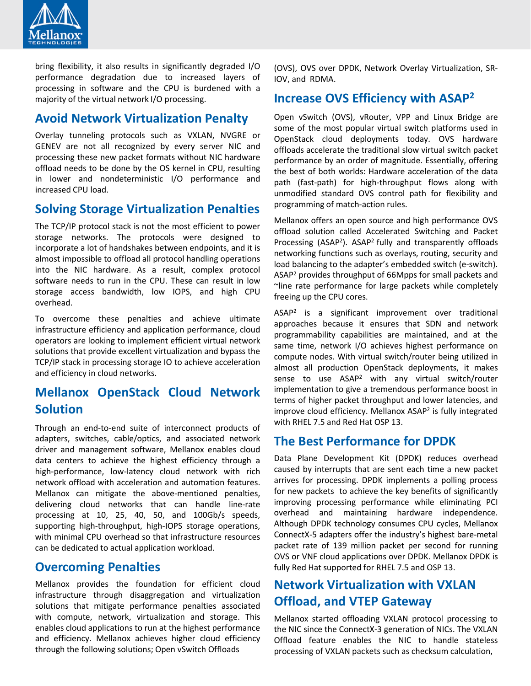

bring flexibility, it also results in significantly degraded I/O performance degradation due to increased layers of processing in software and the CPU is burdened with a majority of the virtual network I/O processing.

#### **Avoid Network Virtualization Penalty**

Overlay tunneling protocols such as VXLAN, NVGRE or GENEV are not all recognized by every server NIC and processing these new packet formats without NIC hardware offload needs to be done by the OS kernel in CPU, resulting in lower and nondeterministic I/O performance and increased CPU load.

#### **Solving Storage Virtualization Penalties**

The TCP/IP protocol stack is not the most efficient to power storage networks. The protocols were designed to incorporate a lot of handshakes between endpoints, and it is almost impossible to offload all protocol handling operations into the NIC hardware. As a result, complex protocol software needs to run in the CPU. These can result in low storage access bandwidth, low IOPS, and high CPU overhead.

To overcome these penalties and achieve ultimate infrastructure efficiency and application performance, cloud operators are looking to implement efficient virtual network solutions that provide excellent virtualization and bypass the TCP/IP stack in processing storage IO to achieve acceleration and efficiency in cloud networks.

## **Mellanox OpenStack Cloud Network Solution**

Through an end-to-end suite of interconnect products of adapters, switches, cable/optics, and associated network driver and management software, Mellanox enables cloud data centers to achieve the highest efficiency through a high-performance, low-latency cloud network with rich network offload with acceleration and automation features. Mellanox can mitigate the above-mentioned penalties, delivering cloud networks that can handle line-rate processing at 10, 25, 40, 50, and 100Gb/s speeds, supporting high-throughput, high-IOPS storage operations, with minimal CPU overhead so that infrastructure resources can be dedicated to actual application workload.

#### **Overcoming Penalties**

Mellanox provides the foundation for efficient cloud infrastructure through disaggregation and virtualization solutions that mitigate performance penalties associated with compute, network, virtualization and storage. This enables cloud applications to run at the highest performance and efficiency. Mellanox achieves higher cloud efficiency through the following solutions; Open vSwitch Offloads

(OVS), OVS over DPDK, Network Overlay Virtualization, SR-IOV, and RDMA.

#### **Increase OVS Efficiency with ASAP2**

Open vSwitch (OVS), vRouter, VPP and Linux Bridge are some of the most popular virtual switch platforms used in OpenStack cloud deployments today. OVS hardware offloads accelerate the traditional slow virtual switch packet performance by an order of magnitude. Essentially, offering the best of both worlds: Hardware acceleration of the data path (fast-path) for high-throughput flows along with unmodified standard OVS control path for flexibility and programming of match-action rules.

Mellanox offers an open source and high performance OVS offload solution called Accelerated Switching and Packet Processing (ASAP<sup>2</sup>). ASAP<sup>2</sup> fully and transparently offloads networking functions such as overlays, routing, security and load balancing to the adapter's embedded switch (e-switch). ASAP2 provides throughput of 66Mpps for small packets and ~line rate performance for large packets while completely freeing up the CPU cores.

ASAP2 is a significant improvement over traditional approaches because it ensures that SDN and network programmability capabilities are maintained, and at the same time, network I/O achieves highest performance on compute nodes. With virtual switch/router being utilized in almost all production OpenStack deployments, it makes sense to use ASAP2 with any virtual switch/router implementation to give a tremendous performance boost in terms of higher packet throughput and lower latencies, and improve cloud efficiency. Mellanox ASAP2 is fully integrated with RHEL 7.5 and Red Hat OSP 13.

#### **The Best Performance for DPDK**

Data Plane Development Kit (DPDK) reduces overhead caused by interrupts that are sent each time a new packet arrives for processing. DPDK implements a polling process for new packets to achieve the key benefits of significantly improving processing performance while eliminating PCI overhead and maintaining hardware independence. Although DPDK technology consumes CPU cycles, Mellanox ConnectX-5 adapters offer the industry's highest bare-metal packet rate of 139 million packet per second for running OVS or VNF cloud applications over DPDK. Mellanox DPDK is fully Red Hat supported for RHEL 7.5 and OSP 13.

## **Network Virtualization with VXLAN Offload, and VTEP Gateway**

Mellanox started offloading VXLAN protocol processing to the NIC since the ConnectX-3 generation of NICs. The VXLAN Offload feature enables the NIC to handle stateless processing of VXLAN packets such as checksum calculation,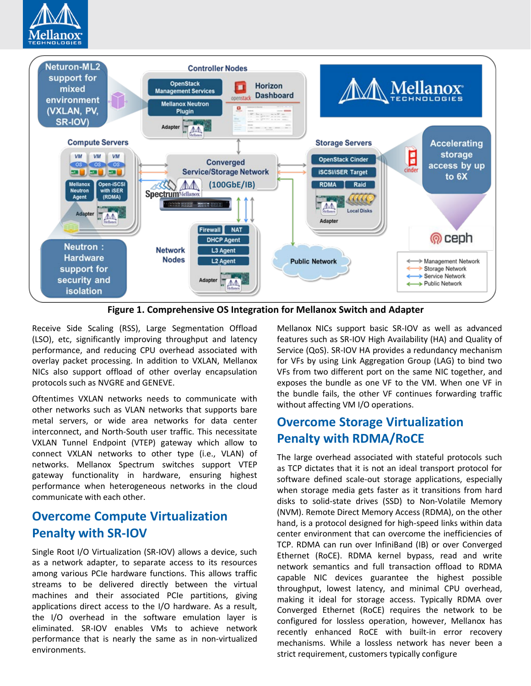



**Figure 1. Comprehensive OS Integration for Mellanox Switch and Adapter**

Receive Side Scaling (RSS), Large Segmentation Offload (LSO), etc, significantly improving throughput and latency performance, and reducing CPU overhead associated with overlay packet processing. In addition to VXLAN, Mellanox NICs also support offload of other overlay encapsulation protocols such as NVGRE and GENEVE.

Oftentimes VXLAN networks needs to communicate with other networks such as VLAN networks that supports bare metal servers, or wide area networks for data center interconnect, and North-South user traffic. This necessitate VXLAN Tunnel Endpoint (VTEP) gateway which allow to connect VXLAN networks to other type (i.e., VLAN) of networks. Mellanox Spectrum switches support VTEP gateway functionality in hardware, ensuring highest performance when heterogeneous networks in the cloud communicate with each other.

#### **Overcome Compute Virtualization Penalty with SR-IOV**

Single Root I/O Virtualization (SR-IOV) allows a device, such as a network adapter, to separate access to its resources among various PCIe hardware functions. This allows traffic streams to be delivered directly between the virtual machines and their associated PCIe partitions, giving applications direct access to the I/O hardware. As a result, the I/O overhead in the software emulation layer is eliminated. SR-IOV enables VMs to achieve network performance that is nearly the same as in non-virtualized environments.

Mellanox NICs support basic SR-IOV as well as advanced features such as SR-IOV High Availability (HA) and Quality of Service (QoS). SR-IOV HA provides a redundancy mechanism for VFs by using Link Aggregation Group (LAG) to bind two VFs from two different port on the same NIC together, and exposes the bundle as one VF to the VM. When one VF in the bundle fails, the other VF continues forwarding traffic without affecting VM I/O operations.

## **Overcome Storage Virtualization Penalty with RDMA/RoCE**

The large overhead associated with stateful protocols such as TCP dictates that it is not an ideal transport protocol for software defined scale-out storage applications, especially when storage media gets faster as it transitions from hard disks to solid-state drives (SSD) to Non-Volatile Memory (NVM). Remote Direct Memory Access (RDMA), on the other hand, is a protocol designed for high-speed links within data center environment that can overcome the inefficiencies of TCP. RDMA can run over InfiniBand (IB) or over Converged Ethernet (RoCE). RDMA kernel bypass, read and write network semantics and full transaction offload to RDMA capable NIC devices guarantee the highest possible throughput, lowest latency, and minimal CPU overhead, making it ideal for storage access. Typically RDMA over Converged Ethernet (RoCE) requires the network to be configured for lossless operation, however, Mellanox has recently enhanced RoCE with built-in error recovery mechanisms. While a lossless network has never been a strict requirement, customers typically configure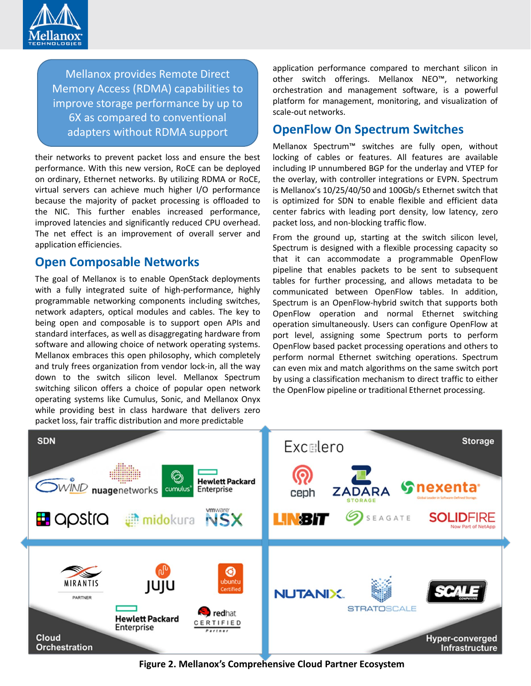

Mellanox provides Remote Direct Memory Access (RDMA) capabilities to improve storage performance by up to 6X as compared to conventional adapters without RDMA support

their networks to prevent packet loss and ensure the best performance. With this new version, RoCE can be deployed on ordinary, Ethernet networks. By utilizing RDMA or RoCE, virtual servers can achieve much higher I/O performance because the majority of packet processing is offloaded to the NIC. This further enables increased performance, improved latencies and significantly reduced CPU overhead. The net effect is an improvement of overall server and application efficiencies.

#### **Open Composable Networks**

The goal of Mellanox is to enable OpenStack deployments with a fully integrated suite of high-performance, highly programmable networking components including switches, network adapters, optical modules and cables. The key to being open and composable is to support open APIs and standard interfaces, as well as disaggregating hardware from software and allowing choice of network operating systems. Mellanox embraces this open philosophy, which completely and truly frees organization from vendor lock-in, all the way down to the switch silicon level. Mellanox Spectrum switching silicon offers a choice of popular open network operating systems like Cumulus, Sonic, and Mellanox Onyx while providing best in class hardware that delivers zero packet loss, fair traffic distribution and more predictable

application performance compared to merchant silicon in other switch offerings. Mellanox NEO™, networking orchestration and management software, is a powerful platform for management, monitoring, and visualization of scale-out networks.

#### **OpenFlow On Spectrum Switches**

Mellanox Spectrum™ switches are fully open, without locking of cables or features. All features are available including IP unnumbered BGP for the underlay and VTEP for the overlay, with controller integrations or EVPN. Spectrum is Mellanox's 10/25/40/50 and 100Gb/s Ethernet switch that is optimized for SDN to enable flexible and efficient data center fabrics with leading port density, low latency, zero packet loss, and non-blocking traffic flow.

From the ground up, starting at the switch silicon level, Spectrum is designed with a flexible processing capacity so that it can accommodate a programmable OpenFlow pipeline that enables packets to be sent to subsequent tables for further processing, and allows metadata to be communicated between OpenFlow tables. In addition, Spectrum is an OpenFlow-hybrid switch that supports both OpenFlow operation and normal Ethernet switching operation simultaneously. Users can configure OpenFlow at port level, assigning some Spectrum ports to perform OpenFlow based packet processing operations and others to perform normal Ethernet switching operations. Spectrum can even mix and match algorithms on the same switch port by using a classification mechanism to direct traffic to either the OpenFlow pipeline or traditional Ethernet processing.



**Figure 2. Mellanox's Comprehensive Cloud Partner Ecosystem**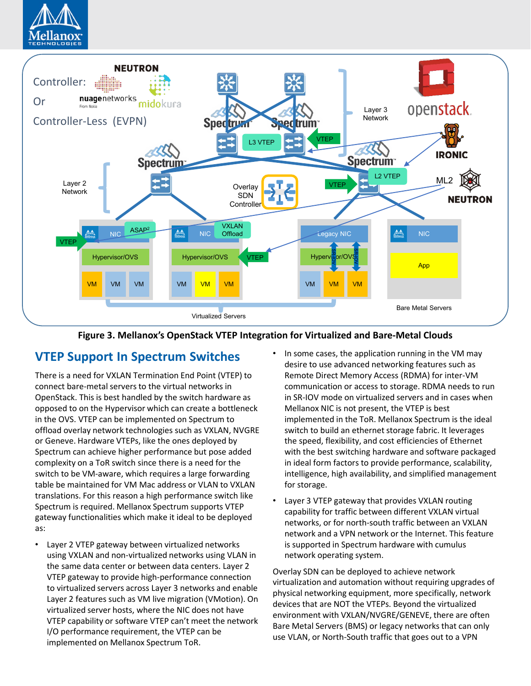



#### **Figure 3. Mellanox's OpenStack VTEP Integration for Virtualized and Bare-Metal Clouds**

#### **VTEP Support In Spectrum Switches**

There is a need for VXLAN Termination End Point (VTEP) to connect bare-metal servers to the virtual networks in OpenStack. This is best handled by the switch hardware as opposed to on the Hypervisor which can create a bottleneck in the OVS. VTEP can be implemented on Spectrum to offload overlay network technologies such as VXLAN, NVGRE or Geneve. Hardware VTEPs, like the ones deployed by Spectrum can achieve higher performance but pose added complexity on a ToR switch since there is a need for the switch to be VM-aware, which requires a large forwarding table be maintained for VM Mac address or VLAN to VXLAN translations. For this reason a high performance switch like Spectrum is required. Mellanox Spectrum supports VTEP gateway functionalities which make it ideal to be deployed as:

- Layer 2 VTEP gateway between virtualized networks using VXLAN and non-virtualized networks using VLAN in the same data center or between data centers. Layer 2 VTEP gateway to provide high-performance connection to virtualized servers across Layer 3 networks and enable Layer 2 features such as VM live migration (VMotion). On virtualized server hosts, where the NIC does not have VTEP capability or software VTEP can't meet the network I/O performance requirement, the VTEP can be implemented on Mellanox Spectrum ToR.
- In some cases, the application running in the VM may desire to use advanced networking features such as Remote Direct Memory Access (RDMA) for inter-VM communication or access to storage. RDMA needs to run in SR-IOV mode on virtualized servers and in cases when Mellanox NIC is not present, the VTEP is best implemented in the ToR. Mellanox Spectrum is the ideal switch to build an ethernet storage fabric. It leverages the speed, flexibility, and cost efficiencies of Ethernet with the best switching hardware and software packaged in ideal form factors to provide performance, scalability, intelligence, high availability, and simplified management for storage.
- Layer 3 VTEP gateway that provides VXLAN routing capability for traffic between different VXLAN virtual networks, or for north-south traffic between an VXLAN network and a VPN network or the Internet. This feature is supported in Spectrum hardware with cumulus network operating system.

Overlay SDN can be deployed to achieve network virtualization and automation without requiring upgrades of physical networking equipment, more specifically, network devices that are NOT the VTEPs. Beyond the virtualized environment with VXLAN/NVGRE/GENEVE, there are often Bare Metal Servers (BMS) or legacy networks that can only use VLAN, or North-South traffic that goes out to a VPN